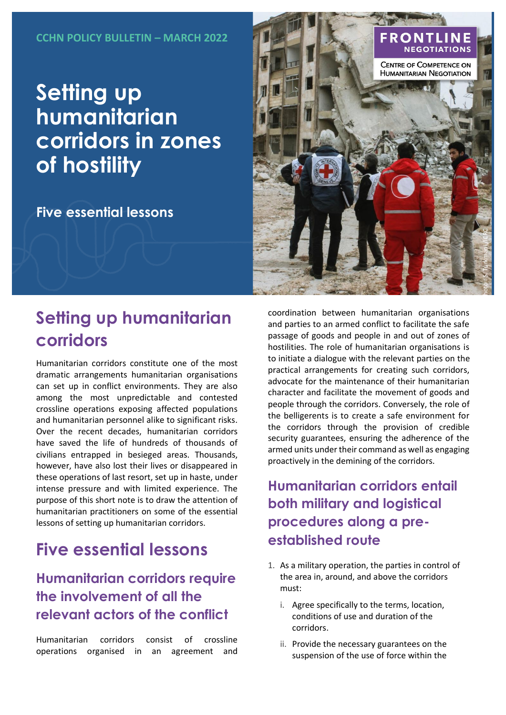# **Setting up humanitarian corridors in zones of hostility**

**Five essential lessons**

# **Setting up humanitarian corridors**

Humanitarian corridors constitute one of the most dramatic arrangements humanitarian organisations can set up in conflict environments. They are also among the most unpredictable and contested crossline operations exposing affected populations and humanitarian personnel alike to significant risks. Over the recent decades, humanitarian corridors have saved the life of hundreds of thousands of civilians entrapped in besieged areas. Thousands, however, have also lost their lives or disappeared in these operations of last resort, set up in haste, under intense pressure and with limited experience. The purpose of this short note is to draw the attention of humanitarian practitioners on some of the essential lessons of setting up humanitarian corridors.

## **Five essential lessons**

#### **Humanitarian corridors require the involvement of all the relevant actors of the conflict**

Humanitarian corridors consist of crossline operations organised in an agreement and



coordination between humanitarian organisations and parties to an armed conflict to facilitate the safe passage of goods and people in and out of zones of hostilities. The role of humanitarian organisations is to initiate a dialogue with the relevant parties on the practical arrangements for creating such corridors, advocate for the maintenance of their humanitarian character and facilitate the movement of goods and people through the corridors. Conversely, the role of the belligerents is to create a safe environment for the corridors through the provision of credible security guarantees, ensuring the adherence of the armed units under their command as well as engaging proactively in the demining of the corridors.

**Humanitarian corridors entail both military and logistical procedures along a preestablished route**

- 1. As a military operation, the parties in control of the area in, around, and above the corridors must:
	- i. Agree specifically to the terms, location, conditions of use and duration of the corridors.
	- ii. Provide the necessary guarantees on the suspension of the use of force within the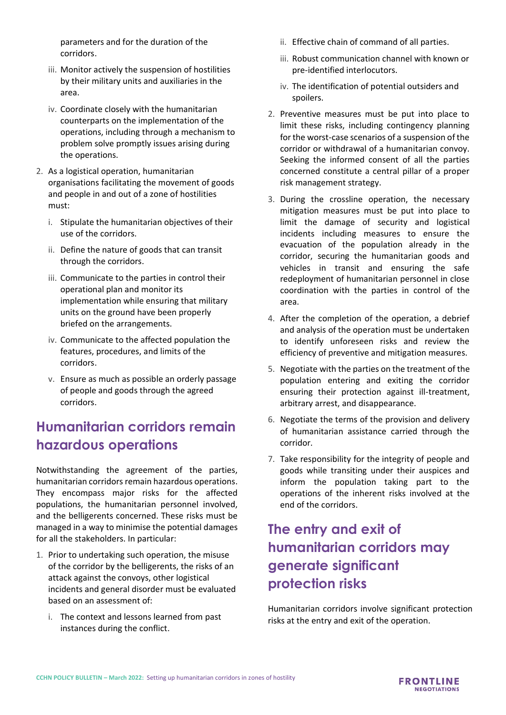parameters and for the duration of the corridors.

- iii. Monitor actively the suspension of hostilities by their military units and auxiliaries in the area.
- iv. Coordinate closely with the humanitarian counterparts on the implementation of the operations, including through a mechanism to problem solve promptly issues arising during the operations.
- 2. As a logistical operation, humanitarian organisations facilitating the movement of goods and people in and out of a zone of hostilities must:
	- i. Stipulate the humanitarian objectives of their use of the corridors.
	- ii. Define the nature of goods that can transit through the corridors.
	- iii. Communicate to the parties in control their operational plan and monitor its implementation while ensuring that military units on the ground have been properly briefed on the arrangements.
	- iv. Communicate to the affected population the features, procedures, and limits of the corridors.
	- v. Ensure as much as possible an orderly passage of people and goods through the agreed corridors.

#### **Humanitarian corridors remain hazardous operations**

Notwithstanding the agreement of the parties, humanitarian corridors remain hazardous operations. They encompass major risks for the affected populations, the humanitarian personnel involved, and the belligerents concerned. These risks must be managed in a way to minimise the potential damages for all the stakeholders. In particular:

- 1. Prior to undertaking such operation, the misuse of the corridor by the belligerents, the risks of an attack against the convoys, other logistical incidents and general disorder must be evaluated based on an assessment of:
	- i. The context and lessons learned from past instances during the conflict.
- ii. Effective chain of command of all parties.
- iii. Robust communication channel with known or pre-identified interlocutors.
- iv. The identification of potential outsiders and spoilers.
- 2. Preventive measures must be put into place to limit these risks, including contingency planning for the worst-case scenarios of a suspension of the corridor or withdrawal of a humanitarian convoy. Seeking the informed consent of all the parties concerned constitute a central pillar of a proper risk management strategy.
- 3. During the crossline operation, the necessary mitigation measures must be put into place to limit the damage of security and logistical incidents including measures to ensure the evacuation of the population already in the corridor, securing the humanitarian goods and vehicles in transit and ensuring the safe redeployment of humanitarian personnel in close coordination with the parties in control of the area.
- 4. After the completion of the operation, a debrief and analysis of the operation must be undertaken to identify unforeseen risks and review the efficiency of preventive and mitigation measures.
- 5. Negotiate with the parties on the treatment of the population entering and exiting the corridor ensuring their protection against ill-treatment, arbitrary arrest, and disappearance.
- 6. Negotiate the terms of the provision and delivery of humanitarian assistance carried through the corridor.
- 7. Take responsibility for the integrity of people and goods while transiting under their auspices and inform the population taking part to the operations of the inherent risks involved at the end of the corridors.

### **The entry and exit of humanitarian corridors may generate significant protection risks**

Humanitarian corridors involve significant protection risks at the entry and exit of the operation.